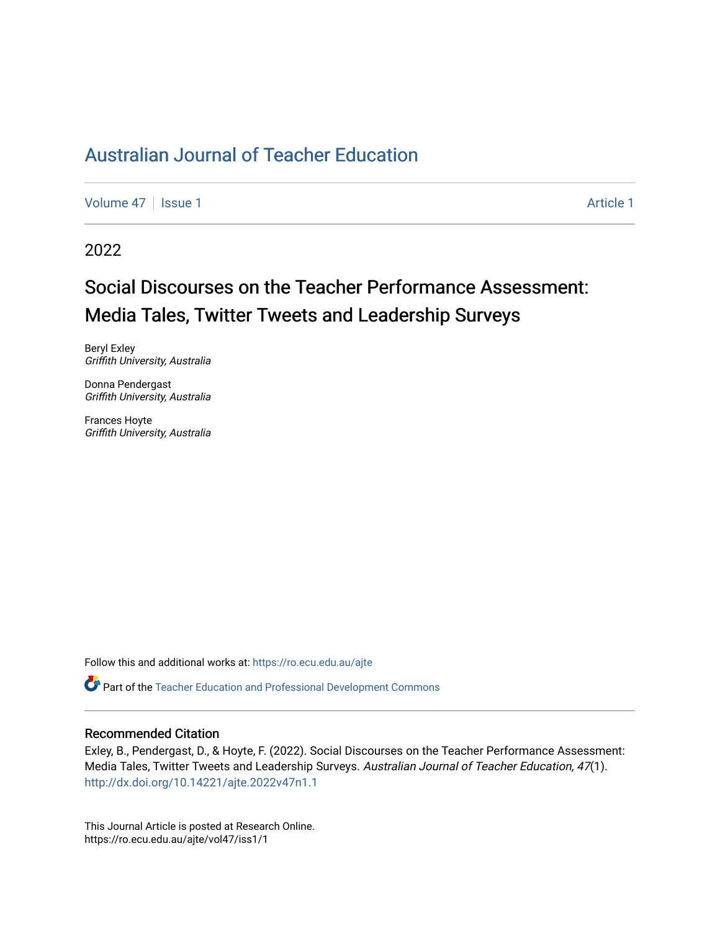[Volume 47](https://ro.ecu.edu.au/ajte/vol47) | [Issue 1](https://ro.ecu.edu.au/ajte/vol47/iss1) Article 1

2022

# Social Discourses on the Teacher Performance Assessment: Media Tales, Twitter Tweets and Leadership Surveys

Beryl Exley Griffith University, Australia

Donna Pendergast Griffith University, Australia

Frances Hoyte Griffith University, Australia

Follow this and additional works at: [https://ro.ecu.edu.au/ajte](https://ro.ecu.edu.au/ajte?utm_source=ro.ecu.edu.au%2Fajte%2Fvol47%2Fiss1%2F1&utm_medium=PDF&utm_campaign=PDFCoverPages) 

Part of the [Teacher Education and Professional Development Commons](http://network.bepress.com/hgg/discipline/803?utm_source=ro.ecu.edu.au%2Fajte%2Fvol47%2Fiss1%2F1&utm_medium=PDF&utm_campaign=PDFCoverPages)

### Recommended Citation

Exley, B., Pendergast, D., & Hoyte, F. (2022). Social Discourses on the Teacher Performance Assessment: Media Tales, Twitter Tweets and Leadership Surveys. Australian Journal of Teacher Education, 47(1). <http://dx.doi.org/10.14221/ajte.2022v47n1.1>

This Journal Article is posted at Research Online. https://ro.ecu.edu.au/ajte/vol47/iss1/1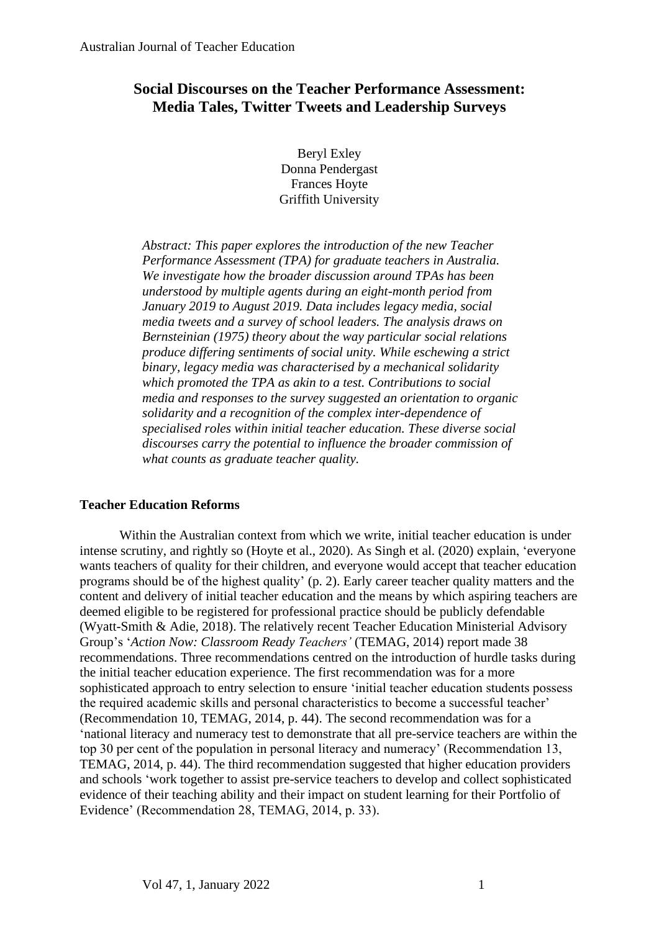## **Social Discourses on the Teacher Performance Assessment: Media Tales, Twitter Tweets and Leadership Surveys**

Beryl Exley Donna Pendergast Frances Hoyte Griffith University

*Abstract: This paper explores the introduction of the new Teacher Performance Assessment (TPA) for graduate teachers in Australia. We investigate how the broader discussion around TPAs has been understood by multiple agents during an eight-month period from January 2019 to August 2019. Data includes legacy media, social media tweets and a survey of school leaders. The analysis draws on Bernsteinian (1975) theory about the way particular social relations produce differing sentiments of social unity. While eschewing a strict binary, legacy media was characterised by a mechanical solidarity which promoted the TPA as akin to a test. Contributions to social media and responses to the survey suggested an orientation to organic solidarity and a recognition of the complex inter-dependence of specialised roles within initial teacher education. These diverse social discourses carry the potential to influence the broader commission of what counts as graduate teacher quality.* 

## **Teacher Education Reforms**

Within the Australian context from which we write, initial teacher education is under intense scrutiny, and rightly so (Hoyte et al., 2020). As Singh et al. (2020) explain, 'everyone wants teachers of quality for their children, and everyone would accept that teacher education programs should be of the highest quality' (p. 2). Early career teacher quality matters and the content and delivery of initial teacher education and the means by which aspiring teachers are deemed eligible to be registered for professional practice should be publicly defendable (Wyatt-Smith & Adie, 2018). The relatively recent Teacher Education Ministerial Advisory Group's '*Action Now: Classroom Ready Teachers'* (TEMAG, 2014) report made 38 recommendations. Three recommendations centred on the introduction of hurdle tasks during the initial teacher education experience. The first recommendation was for a more sophisticated approach to entry selection to ensure 'initial teacher education students possess the required academic skills and personal characteristics to become a successful teacher' (Recommendation 10, TEMAG, 2014, p. 44). The second recommendation was for a 'national literacy and numeracy test to demonstrate that all pre-service teachers are within the top 30 per cent of the population in personal literacy and numeracy' (Recommendation 13, TEMAG, 2014, p. 44). The third recommendation suggested that higher education providers and schools 'work together to assist pre-service teachers to develop and collect sophisticated evidence of their teaching ability and their impact on student learning for their Portfolio of Evidence' (Recommendation 28, TEMAG, 2014, p. 33).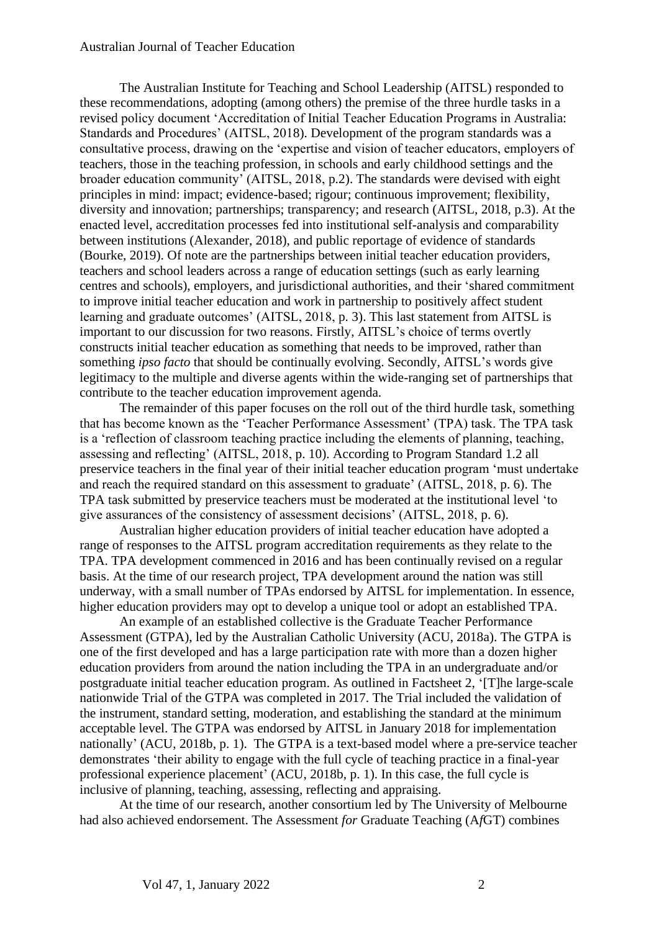The Australian Institute for Teaching and School Leadership (AITSL) responded to these recommendations, adopting (among others) the premise of the three hurdle tasks in a revised policy document 'Accreditation of Initial Teacher Education Programs in Australia: Standards and Procedures' (AITSL, 2018). Development of the program standards was a consultative process, drawing on the 'expertise and vision of teacher educators, employers of teachers, those in the teaching profession, in schools and early childhood settings and the broader education community' (AITSL, 2018, p.2). The standards were devised with eight principles in mind: impact; evidence-based; rigour; continuous improvement; flexibility, diversity and innovation; partnerships; transparency; and research (AITSL, 2018, p.3). At the enacted level, accreditation processes fed into institutional self-analysis and comparability between institutions (Alexander, 2018), and public reportage of evidence of standards (Bourke, 2019). Of note are the partnerships between initial teacher education providers, teachers and school leaders across a range of education settings (such as early learning centres and schools), employers, and jurisdictional authorities, and their 'shared commitment to improve initial teacher education and work in partnership to positively affect student learning and graduate outcomes' (AITSL, 2018, p. 3). This last statement from AITSL is important to our discussion for two reasons. Firstly, AITSL's choice of terms overtly constructs initial teacher education as something that needs to be improved, rather than something *ipso facto* that should be continually evolving. Secondly, AITSL's words give legitimacy to the multiple and diverse agents within the wide-ranging set of partnerships that contribute to the teacher education improvement agenda.

The remainder of this paper focuses on the roll out of the third hurdle task, something that has become known as the 'Teacher Performance Assessment' (TPA) task. The TPA task is a 'reflection of classroom teaching practice including the elements of planning, teaching, assessing and reflecting' (AITSL, 2018, p. 10). According to Program Standard 1.2 all preservice teachers in the final year of their initial teacher education program 'must undertake and reach the required standard on this assessment to graduate' (AITSL, 2018, p. 6). The TPA task submitted by preservice teachers must be moderated at the institutional level 'to give assurances of the consistency of assessment decisions' (AITSL, 2018, p. 6).

Australian higher education providers of initial teacher education have adopted a range of responses to the AITSL program accreditation requirements as they relate to the TPA. TPA development commenced in 2016 and has been continually revised on a regular basis. At the time of our research project, TPA development around the nation was still underway, with a small number of TPAs endorsed by AITSL for implementation. In essence, higher education providers may opt to develop a unique tool or adopt an established TPA.

An example of an established collective is the Graduate Teacher Performance Assessment (GTPA), led by the Australian Catholic University (ACU, 2018a). The GTPA is one of the first developed and has a large participation rate with more than a dozen higher education providers from around the nation including the TPA in an undergraduate and/or postgraduate initial teacher education program. As outlined in Factsheet 2, '[T]he large-scale nationwide Trial of the GTPA was completed in 2017. The Trial included the validation of the instrument, standard setting, moderation, and establishing the standard at the minimum acceptable level. The GTPA was endorsed by AITSL in January 2018 for implementation nationally' (ACU, 2018b, p. 1). The GTPA is a text-based model where a pre-service teacher demonstrates 'their ability to engage with the full cycle of teaching practice in a final-year professional experience placement' (ACU, 2018b, p. 1). In this case, the full cycle is inclusive of planning, teaching, assessing, reflecting and appraising.

At the time of our research, another consortium led by The University of Melbourne had also achieved endorsement. The Assessment *for* Graduate Teaching (A*f*GT) combines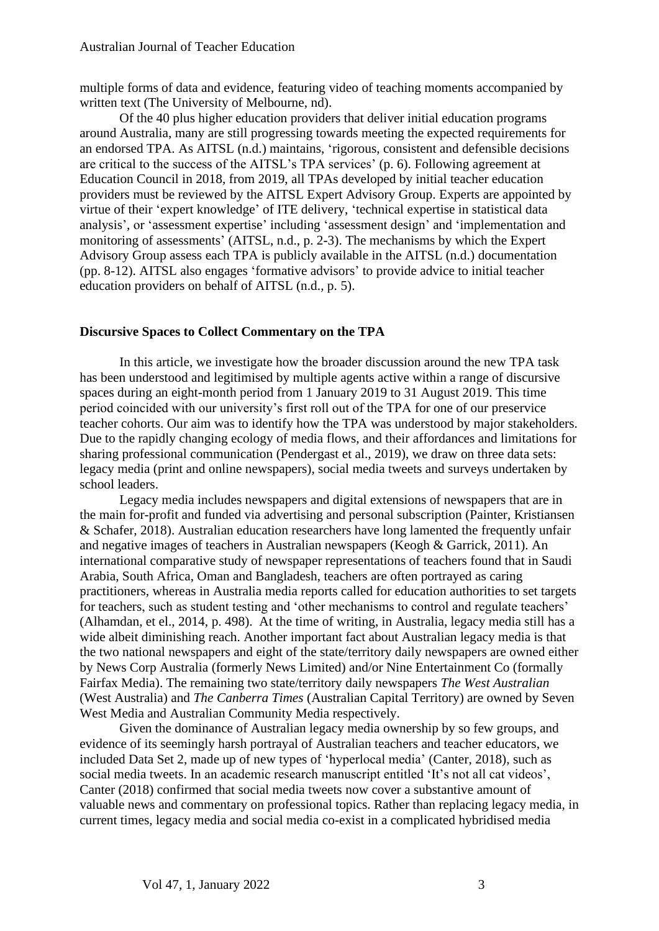multiple forms of data and evidence, featuring video of teaching moments accompanied by written text (The University of Melbourne, nd).

Of the 40 plus higher education providers that deliver initial education programs around Australia, many are still progressing towards meeting the expected requirements for an endorsed TPA. As AITSL (n.d.) maintains, 'rigorous, consistent and defensible decisions are critical to the success of the AITSL's TPA services' (p. 6). Following agreement at Education Council in 2018, from 2019, all TPAs developed by initial teacher education providers must be reviewed by the AITSL Expert Advisory Group. Experts are appointed by virtue of their 'expert knowledge' of ITE delivery, 'technical expertise in statistical data analysis', or 'assessment expertise' including 'assessment design' and 'implementation and monitoring of assessments' (AITSL, n.d., p. 2-3). The mechanisms by which the Expert Advisory Group assess each TPA is publicly available in the AITSL (n.d.) documentation (pp. 8-12). AITSL also engages 'formative advisors' to provide advice to initial teacher education providers on behalf of AITSL (n.d., p. 5).

## **Discursive Spaces to Collect Commentary on the TPA**

In this article, we investigate how the broader discussion around the new TPA task has been understood and legitimised by multiple agents active within a range of discursive spaces during an eight-month period from 1 January 2019 to 31 August 2019. This time period coincided with our university's first roll out of the TPA for one of our preservice teacher cohorts. Our aim was to identify how the TPA was understood by major stakeholders. Due to the rapidly changing ecology of media flows, and their affordances and limitations for sharing professional communication (Pendergast et al., 2019), we draw on three data sets: legacy media (print and online newspapers), social media tweets and surveys undertaken by school leaders.

Legacy media includes newspapers and digital extensions of newspapers that are in the main for-profit and funded via advertising and personal subscription (Painter, Kristiansen & Schafer, 2018). Australian education researchers have long lamented the frequently unfair and negative images of teachers in Australian newspapers (Keogh & Garrick, 2011). An international comparative study of newspaper representations of teachers found that in Saudi Arabia, South Africa, Oman and Bangladesh, teachers are often portrayed as caring practitioners, whereas in Australia media reports called for education authorities to set targets for teachers, such as student testing and 'other mechanisms to control and regulate teachers' (Alhamdan, et el., 2014, p. 498). At the time of writing, in Australia, legacy media still has a wide albeit diminishing reach. Another important fact about Australian legacy media is that the two national newspapers and eight of the state/territory daily newspapers are owned either by News Corp Australia (formerly News Limited) and/or Nine Entertainment Co (formally Fairfax Media). The remaining two state/territory daily newspapers *The West Australian* (West Australia) and *The Canberra Times* (Australian Capital Territory) are owned by Seven West Media and Australian Community Media respectively.

Given the dominance of Australian legacy media ownership by so few groups, and evidence of its seemingly harsh portrayal of Australian teachers and teacher educators, we included Data Set 2, made up of new types of 'hyperlocal media' (Canter, 2018), such as social media tweets. In an academic research manuscript entitled 'It's not all cat videos', Canter (2018) confirmed that social media tweets now cover a substantive amount of valuable news and commentary on professional topics. Rather than replacing legacy media, in current times, legacy media and social media co-exist in a complicated hybridised media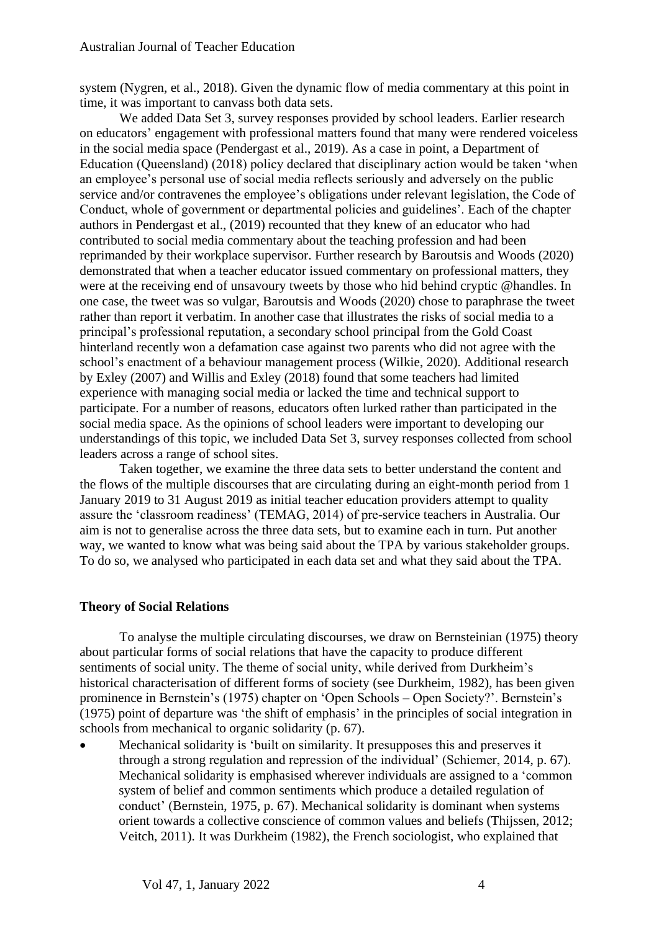system (Nygren, et al., 2018). Given the dynamic flow of media commentary at this point in time, it was important to canvass both data sets.

We added Data Set 3, survey responses provided by school leaders. Earlier research on educators' engagement with professional matters found that many were rendered voiceless in the social media space (Pendergast et al., 2019). As a case in point, a Department of Education (Queensland) (2018) policy declared that disciplinary action would be taken 'when an employee's personal use of social media reflects seriously and adversely on the public service and/or contravenes the employee's obligations under relevant legislation, the Code of Conduct, whole of government or departmental policies and guidelines'. Each of the chapter authors in Pendergast et al., (2019) recounted that they knew of an educator who had contributed to social media commentary about the teaching profession and had been reprimanded by their workplace supervisor. Further research by Baroutsis and Woods (2020) demonstrated that when a teacher educator issued commentary on professional matters, they were at the receiving end of unsavoury tweets by those who hid behind cryptic @handles. In one case, the tweet was so vulgar, Baroutsis and Woods (2020) chose to paraphrase the tweet rather than report it verbatim. In another case that illustrates the risks of social media to a principal's professional reputation, a secondary school principal from the Gold Coast hinterland recently won a defamation case against two parents who did not agree with the school's enactment of a behaviour management process (Wilkie, 2020). Additional research by Exley (2007) and Willis and Exley (2018) found that some teachers had limited experience with managing social media or lacked the time and technical support to participate. For a number of reasons, educators often lurked rather than participated in the social media space. As the opinions of school leaders were important to developing our understandings of this topic, we included Data Set 3, survey responses collected from school leaders across a range of school sites.

Taken together, we examine the three data sets to better understand the content and the flows of the multiple discourses that are circulating during an eight-month period from 1 January 2019 to 31 August 2019 as initial teacher education providers attempt to quality assure the 'classroom readiness' (TEMAG, 2014) of pre-service teachers in Australia. Our aim is not to generalise across the three data sets, but to examine each in turn. Put another way, we wanted to know what was being said about the TPA by various stakeholder groups. To do so, we analysed who participated in each data set and what they said about the TPA.

### **Theory of Social Relations**

To analyse the multiple circulating discourses, we draw on Bernsteinian (1975) theory about particular forms of social relations that have the capacity to produce different sentiments of social unity. The theme of social unity, while derived from Durkheim's historical characterisation of different forms of society (see Durkheim, 1982), has been given prominence in Bernstein's (1975) chapter on 'Open Schools – Open Society?'. Bernstein's (1975) point of departure was 'the shift of emphasis' in the principles of social integration in schools from mechanical to organic solidarity (p. 67).

• Mechanical solidarity is 'built on similarity. It presupposes this and preserves it through a strong regulation and repression of the individual' (Schiemer, 2014, p. 67). Mechanical solidarity is emphasised wherever individuals are assigned to a 'common system of belief and common sentiments which produce a detailed regulation of conduct' (Bernstein, 1975, p. 67). Mechanical solidarity is dominant when systems orient towards a collective conscience of common values and beliefs (Thijssen, 2012; Veitch, 2011). It was Durkheim (1982), the French sociologist, who explained that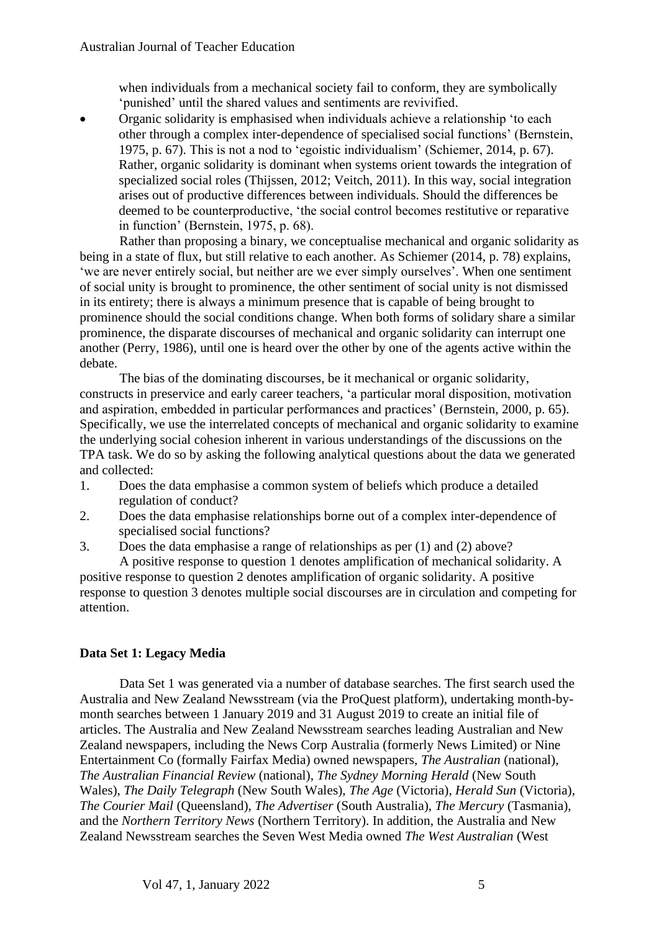when individuals from a mechanical society fail to conform, they are symbolically 'punished' until the shared values and sentiments are revivified.

• Organic solidarity is emphasised when individuals achieve a relationship 'to each other through a complex inter-dependence of specialised social functions' (Bernstein, 1975, p. 67). This is not a nod to 'egoistic individualism' (Schiemer, 2014, p. 67). Rather, organic solidarity is dominant when systems orient towards the integration of specialized social roles (Thijssen, 2012; Veitch, 2011). In this way, social integration arises out of productive differences between individuals. Should the differences be deemed to be counterproductive, 'the social control becomes restitutive or reparative in function' (Bernstein, 1975, p. 68).

Rather than proposing a binary, we conceptualise mechanical and organic solidarity as being in a state of flux, but still relative to each another. As Schiemer (2014, p. 78) explains, 'we are never entirely social, but neither are we ever simply ourselves'. When one sentiment of social unity is brought to prominence, the other sentiment of social unity is not dismissed in its entirety; there is always a minimum presence that is capable of being brought to prominence should the social conditions change. When both forms of solidary share a similar prominence, the disparate discourses of mechanical and organic solidarity can interrupt one another (Perry, 1986), until one is heard over the other by one of the agents active within the debate.

The bias of the dominating discourses, be it mechanical or organic solidarity, constructs in preservice and early career teachers, 'a particular moral disposition, motivation and aspiration, embedded in particular performances and practices' (Bernstein, 2000, p. 65). Specifically, we use the interrelated concepts of mechanical and organic solidarity to examine the underlying social cohesion inherent in various understandings of the discussions on the TPA task. We do so by asking the following analytical questions about the data we generated and collected:

- 1. Does the data emphasise a common system of beliefs which produce a detailed regulation of conduct?
- 2. Does the data emphasise relationships borne out of a complex inter-dependence of specialised social functions?
- 3. Does the data emphasise a range of relationships as per (1) and (2) above?

A positive response to question 1 denotes amplification of mechanical solidarity. A positive response to question 2 denotes amplification of organic solidarity. A positive response to question 3 denotes multiple social discourses are in circulation and competing for attention.

## **Data Set 1: Legacy Media**

Data Set 1 was generated via a number of database searches. The first search used the Australia and New Zealand Newsstream (via the ProQuest platform), undertaking month-bymonth searches between 1 January 2019 and 31 August 2019 to create an initial file of articles. The Australia and New Zealand Newsstream searches leading Australian and New Zealand newspapers, including the News Corp Australia (formerly News Limited) or Nine Entertainment Co (formally Fairfax Media) owned newspapers, *The Australian* (national)*, The Australian Financial Review* (national), *The Sydney Morning Herald* (New South Wales), *The Daily Telegraph* (New South Wales), *The Age* (Victoria), *Herald Sun* (Victoria), *The Courier Mail* (Queensland), *The Advertiser* (South Australia), *The Mercury* (Tasmania), and the *Northern Territory News* (Northern Territory). In addition, the Australia and New Zealand Newsstream searches the Seven West Media owned *The West Australian* (West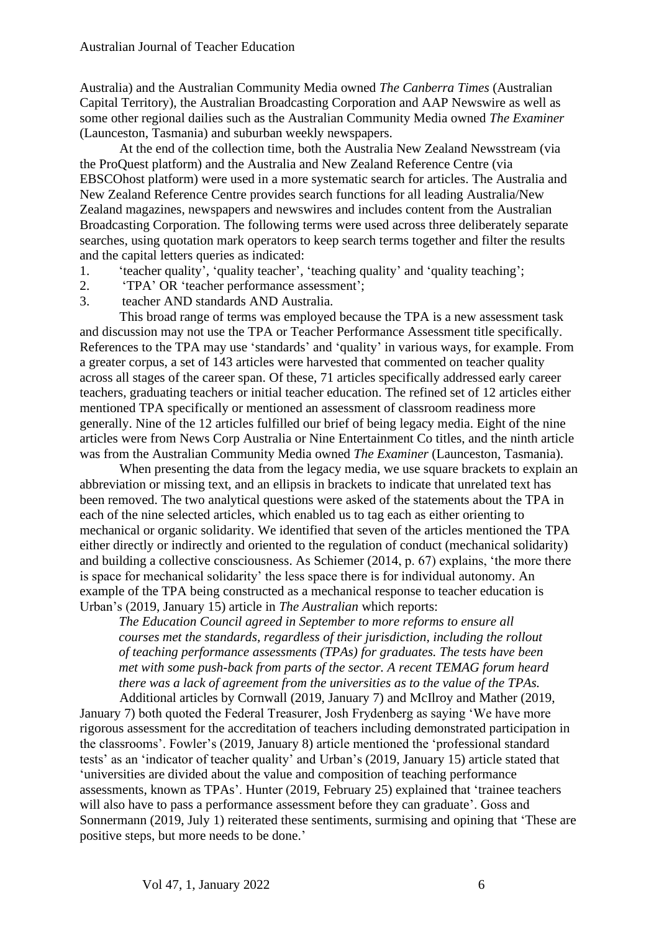Australia) and the Australian Community Media owned *The Canberra Times* (Australian Capital Territory), the Australian Broadcasting Corporation and AAP Newswire as well as some other regional dailies such as the Australian Community Media owned *The Examiner*  (Launceston, Tasmania) and suburban weekly newspapers.

At the end of the collection time, both the Australia New Zealand Newsstream (via the ProQuest platform) and the Australia and New Zealand Reference Centre (via EBSCOhost platform) were used in a more systematic search for articles. The Australia and New Zealand Reference Centre provides search functions for all leading Australia/New Zealand magazines, newspapers and newswires and includes content from the Australian Broadcasting Corporation. The following terms were used across three deliberately separate searches, using quotation mark operators to keep search terms together and filter the results and the capital letters queries as indicated:

- 1. 'teacher quality', 'quality teacher', 'teaching quality' and 'quality teaching';
- 2. 'TPA' OR 'teacher performance assessment';
- 3. teacher AND standards AND Australia.

This broad range of terms was employed because the TPA is a new assessment task and discussion may not use the TPA or Teacher Performance Assessment title specifically. References to the TPA may use 'standards' and 'quality' in various ways, for example. From a greater corpus, a set of 143 articles were harvested that commented on teacher quality across all stages of the career span. Of these, 71 articles specifically addressed early career teachers, graduating teachers or initial teacher education. The refined set of 12 articles either mentioned TPA specifically or mentioned an assessment of classroom readiness more generally. Nine of the 12 articles fulfilled our brief of being legacy media. Eight of the nine articles were from News Corp Australia or Nine Entertainment Co titles, and the ninth article was from the Australian Community Media owned *The Examiner* (Launceston, Tasmania).

When presenting the data from the legacy media, we use square brackets to explain an abbreviation or missing text, and an ellipsis in brackets to indicate that unrelated text has been removed. The two analytical questions were asked of the statements about the TPA in each of the nine selected articles, which enabled us to tag each as either orienting to mechanical or organic solidarity. We identified that seven of the articles mentioned the TPA either directly or indirectly and oriented to the regulation of conduct (mechanical solidarity) and building a collective consciousness. As Schiemer (2014, p. 67) explains, 'the more there is space for mechanical solidarity' the less space there is for individual autonomy. An example of the TPA being constructed as a mechanical response to teacher education is Urban's (2019, January 15) article in *The Australian* which reports:

*The Education Council agreed in September to more reforms to ensure all courses met the standards, regardless of their jurisdiction, including the rollout of teaching performance assessments (TPAs) for graduates. The tests have been met with some push-back from parts of the sector. A recent TEMAG forum heard there was a lack of agreement from the universities as to the value of the TPAs.* Additional articles by Cornwall (2019, January 7) and McIlroy and Mather (2019,

January 7) both quoted the Federal Treasurer, Josh Frydenberg as saying 'We have more rigorous assessment for the accreditation of teachers including demonstrated participation in the classrooms'. Fowler's (2019, January 8) article mentioned the 'professional standard tests' as an 'indicator of teacher quality' and Urban's (2019, January 15) article stated that 'universities are divided about the value and composition of teaching performance assessments, known as TPAs'. Hunter (2019, February 25) explained that 'trainee teachers will also have to pass a performance assessment before they can graduate'. Goss and Sonnermann (2019, July 1) reiterated these sentiments, surmising and opining that 'These are positive steps, but more needs to be done.'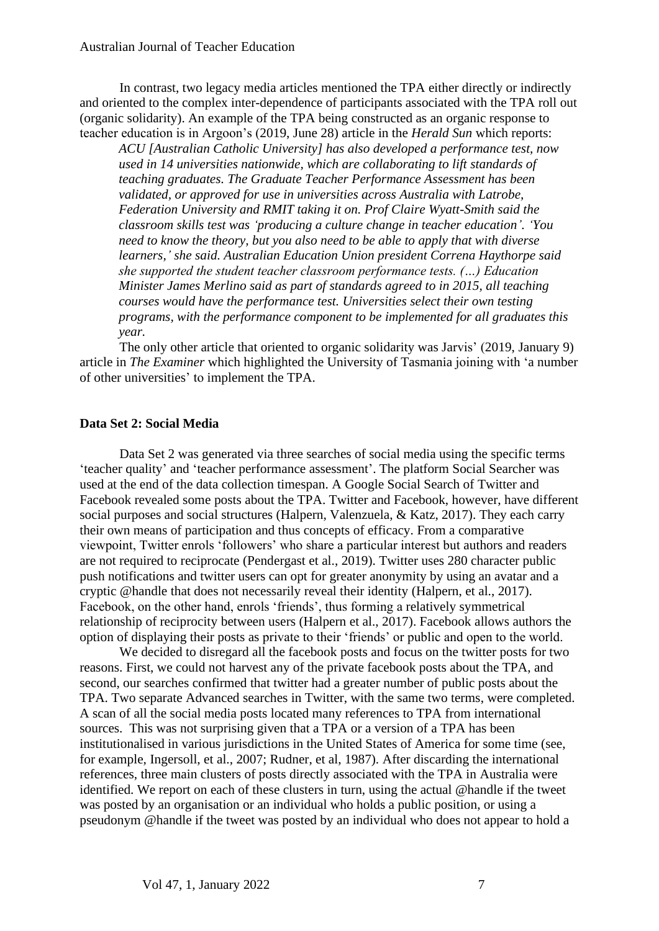In contrast, two legacy media articles mentioned the TPA either directly or indirectly and oriented to the complex inter-dependence of participants associated with the TPA roll out (organic solidarity). An example of the TPA being constructed as an organic response to teacher education is in Argoon's (2019, June 28) article in the *Herald Sun* which reports:

*ACU [Australian Catholic University] has also developed a performance test, now used in 14 universities nationwide, which are collaborating to lift standards of teaching graduates. The Graduate Teacher Performance Assessment has been validated, or approved for use in universities across Australia with Latrobe, Federation University and RMIT taking it on. Prof Claire Wyatt-Smith said the classroom skills test was 'producing a culture change in teacher education'. 'You need to know the theory, but you also need to be able to apply that with diverse learners,' she said. Australian Education Union president Correna Haythorpe said she supported the student teacher classroom performance tests. (…) Education Minister James Merlino said as part of standards agreed to in 2015, all teaching courses would have the performance test. Universities select their own testing programs, with the performance component to be implemented for all graduates this year.*

The only other article that oriented to organic solidarity was Jarvis' (2019, January 9) article in *The Examiner* which highlighted the University of Tasmania joining with 'a number of other universities' to implement the TPA.

## **Data Set 2: Social Media**

Data Set 2 was generated via three searches of social media using the specific terms 'teacher quality' and 'teacher performance assessment'. The platform Social Searcher was used at the end of the data collection timespan. A Google Social Search of Twitter and Facebook revealed some posts about the TPA. Twitter and Facebook, however, have different social purposes and social structures (Halpern, Valenzuela, & Katz, 2017). They each carry their own means of participation and thus concepts of efficacy. From a comparative viewpoint, Twitter enrols 'followers' who share a particular interest but authors and readers are not required to reciprocate (Pendergast et al., 2019). Twitter uses 280 character public push notifications and twitter users can opt for greater anonymity by using an avatar and a cryptic @handle that does not necessarily reveal their identity (Halpern, et al., 2017). Facebook, on the other hand, enrols 'friends', thus forming a relatively symmetrical relationship of reciprocity between users (Halpern et al., 2017). Facebook allows authors the option of displaying their posts as private to their 'friends' or public and open to the world.

We decided to disregard all the facebook posts and focus on the twitter posts for two reasons. First, we could not harvest any of the private facebook posts about the TPA, and second, our searches confirmed that twitter had a greater number of public posts about the TPA. Two separate Advanced searches in Twitter, with the same two terms, were completed. A scan of all the social media posts located many references to TPA from international sources. This was not surprising given that a TPA or a version of a TPA has been institutionalised in various jurisdictions in the United States of America for some time (see, for example, Ingersoll, et al., 2007; Rudner, et al, 1987). After discarding the international references, three main clusters of posts directly associated with the TPA in Australia were identified. We report on each of these clusters in turn, using the actual @handle if the tweet was posted by an organisation or an individual who holds a public position, or using a pseudonym @handle if the tweet was posted by an individual who does not appear to hold a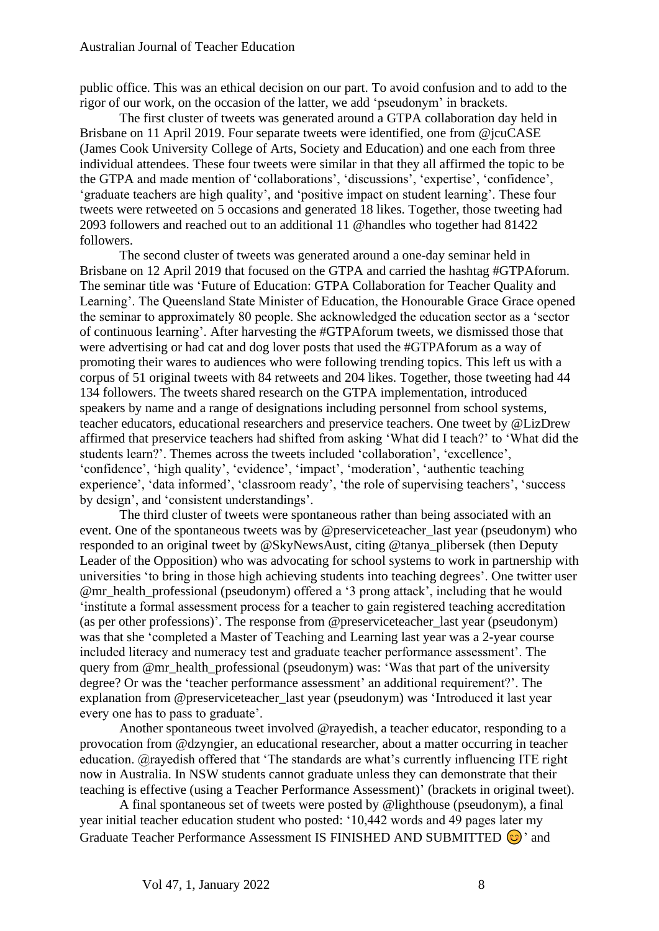public office. This was an ethical decision on our part. To avoid confusion and to add to the rigor of our work, on the occasion of the latter, we add 'pseudonym' in brackets.

The first cluster of tweets was generated around a GTPA collaboration day held in Brisbane on 11 April 2019. Four separate tweets were identified, one from @jcuCASE (James Cook University College of Arts, Society and Education) and one each from three individual attendees. These four tweets were similar in that they all affirmed the topic to be the GTPA and made mention of 'collaborations', 'discussions', 'expertise', 'confidence', 'graduate teachers are high quality', and 'positive impact on student learning'. These four tweets were retweeted on 5 occasions and generated 18 likes. Together, those tweeting had 2093 followers and reached out to an additional 11 @handles who together had 81422 followers.

The second cluster of tweets was generated around a one-day seminar held in Brisbane on 12 April 2019 that focused on the GTPA and carried the hashtag #GTPAforum. The seminar title was 'Future of Education: GTPA Collaboration for Teacher Quality and Learning'. The Queensland State Minister of Education, the Honourable Grace Grace opened the seminar to approximately 80 people. She acknowledged the education sector as a 'sector of continuous learning'. After harvesting the #GTPAforum tweets, we dismissed those that were advertising or had cat and dog lover posts that used the #GTPAforum as a way of promoting their wares to audiences who were following trending topics. This left us with a corpus of 51 original tweets with 84 retweets and 204 likes. Together, those tweeting had 44 134 followers. The tweets shared research on the GTPA implementation, introduced speakers by name and a range of designations including personnel from school systems, teacher educators, educational researchers and preservice teachers. One tweet by @LizDrew affirmed that preservice teachers had shifted from asking 'What did I teach?' to 'What did the students learn?'. Themes across the tweets included 'collaboration', 'excellence', 'confidence', 'high quality', 'evidence', 'impact', 'moderation', 'authentic teaching experience', 'data informed', 'classroom ready', 'the role of supervising teachers', 'success by design', and 'consistent understandings'.

The third cluster of tweets were spontaneous rather than being associated with an event. One of the spontaneous tweets was by @preserviceteacher\_last year (pseudonym) who responded to an original tweet by @SkyNewsAust, citing @tanya\_plibersek (then Deputy Leader of the Opposition) who was advocating for school systems to work in partnership with universities 'to bring in those high achieving students into teaching degrees'. One twitter user @mr\_health\_professional (pseudonym) offered a '3 prong attack', including that he would 'institute a formal assessment process for a teacher to gain registered teaching accreditation (as per other professions)'. The response from @preserviceteacher\_last year (pseudonym) was that she 'completed a Master of Teaching and Learning last year was a 2-year course included literacy and numeracy test and graduate teacher performance assessment'. The query from @mr\_health\_professional (pseudonym) was: 'Was that part of the university degree? Or was the 'teacher performance assessment' an additional requirement?'. The explanation from @preserviceteacher\_last year (pseudonym) was 'Introduced it last year every one has to pass to graduate'.

Another spontaneous tweet involved @rayedish, a teacher educator, responding to a provocation from @dzyngier, an educational researcher, about a matter occurring in teacher education. @rayedish offered that 'The standards are what's currently influencing ITE right now in Australia. In NSW students cannot graduate unless they can demonstrate that their teaching is effective (using a Teacher Performance Assessment)' (brackets in original tweet).

A final spontaneous set of tweets were posted by @lighthouse (pseudonym), a final year initial teacher education student who posted: '10,442 words and 49 pages later my Graduate Teacher Performance Assessment IS FINISHED AND SUBMITTED  $\odot$  and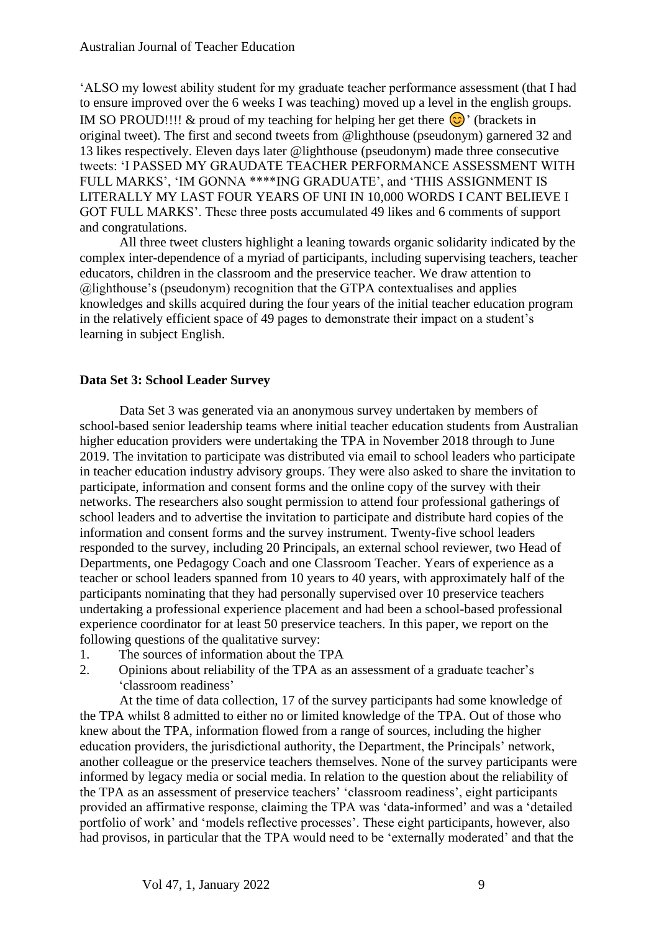'ALSO my lowest ability student for my graduate teacher performance assessment (that I had to ensure improved over the 6 weeks I was teaching) moved up a level in the english groups. IM SO PROUD!!!! & proud of my teaching for helping her get there  $\odot$  ' (brackets in original tweet). The first and second tweets from @lighthouse (pseudonym) garnered 32 and 13 likes respectively. Eleven days later @lighthouse (pseudonym) made three consecutive tweets: 'I PASSED MY GRAUDATE TEACHER PERFORMANCE ASSESSMENT WITH FULL MARKS', 'IM GONNA \*\*\*\*ING GRADUATE', and 'THIS ASSIGNMENT IS LITERALLY MY LAST FOUR YEARS OF UNI IN 10,000 WORDS I CANT BELIEVE I GOT FULL MARKS'. These three posts accumulated 49 likes and 6 comments of support and congratulations.

All three tweet clusters highlight a leaning towards organic solidarity indicated by the complex inter-dependence of a myriad of participants, including supervising teachers, teacher educators, children in the classroom and the preservice teacher. We draw attention to @lighthouse's (pseudonym) recognition that the GTPA contextualises and applies knowledges and skills acquired during the four years of the initial teacher education program in the relatively efficient space of 49 pages to demonstrate their impact on a student's learning in subject English.

## **Data Set 3: School Leader Survey**

Data Set 3 was generated via an anonymous survey undertaken by members of school-based senior leadership teams where initial teacher education students from Australian higher education providers were undertaking the TPA in November 2018 through to June 2019. The invitation to participate was distributed via email to school leaders who participate in teacher education industry advisory groups. They were also asked to share the invitation to participate, information and consent forms and the online copy of the survey with their networks. The researchers also sought permission to attend four professional gatherings of school leaders and to advertise the invitation to participate and distribute hard copies of the information and consent forms and the survey instrument. Twenty-five school leaders responded to the survey, including 20 Principals, an external school reviewer, two Head of Departments, one Pedagogy Coach and one Classroom Teacher. Years of experience as a teacher or school leaders spanned from 10 years to 40 years, with approximately half of the participants nominating that they had personally supervised over 10 preservice teachers undertaking a professional experience placement and had been a school-based professional experience coordinator for at least 50 preservice teachers. In this paper, we report on the following questions of the qualitative survey:

- 1. The sources of information about the TPA
- 2. Opinions about reliability of the TPA as an assessment of a graduate teacher's 'classroom readiness'

At the time of data collection, 17 of the survey participants had some knowledge of the TPA whilst 8 admitted to either no or limited knowledge of the TPA. Out of those who knew about the TPA, information flowed from a range of sources, including the higher education providers, the jurisdictional authority, the Department, the Principals' network, another colleague or the preservice teachers themselves. None of the survey participants were informed by legacy media or social media. In relation to the question about the reliability of the TPA as an assessment of preservice teachers' 'classroom readiness', eight participants provided an affirmative response, claiming the TPA was 'data-informed' and was a 'detailed portfolio of work' and 'models reflective processes'. These eight participants, however, also had provisos, in particular that the TPA would need to be 'externally moderated' and that the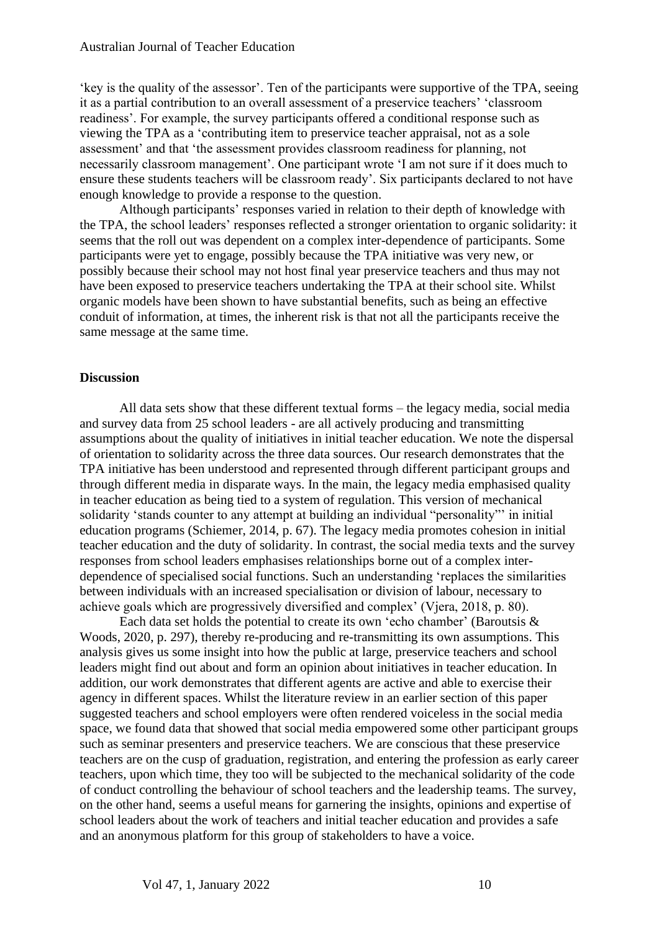'key is the quality of the assessor'. Ten of the participants were supportive of the TPA, seeing it as a partial contribution to an overall assessment of a preservice teachers' 'classroom readiness'. For example, the survey participants offered a conditional response such as viewing the TPA as a 'contributing item to preservice teacher appraisal, not as a sole assessment' and that 'the assessment provides classroom readiness for planning, not necessarily classroom management'. One participant wrote 'I am not sure if it does much to ensure these students teachers will be classroom ready'. Six participants declared to not have enough knowledge to provide a response to the question.

Although participants' responses varied in relation to their depth of knowledge with the TPA, the school leaders' responses reflected a stronger orientation to organic solidarity: it seems that the roll out was dependent on a complex inter-dependence of participants. Some participants were yet to engage, possibly because the TPA initiative was very new, or possibly because their school may not host final year preservice teachers and thus may not have been exposed to preservice teachers undertaking the TPA at their school site. Whilst organic models have been shown to have substantial benefits, such as being an effective conduit of information, at times, the inherent risk is that not all the participants receive the same message at the same time.

## **Discussion**

All data sets show that these different textual forms – the legacy media, social media and survey data from 25 school leaders - are all actively producing and transmitting assumptions about the quality of initiatives in initial teacher education. We note the dispersal of orientation to solidarity across the three data sources. Our research demonstrates that the TPA initiative has been understood and represented through different participant groups and through different media in disparate ways. In the main, the legacy media emphasised quality in teacher education as being tied to a system of regulation. This version of mechanical solidarity 'stands counter to any attempt at building an individual "personality" in initial education programs (Schiemer, 2014, p. 67). The legacy media promotes cohesion in initial teacher education and the duty of solidarity. In contrast, the social media texts and the survey responses from school leaders emphasises relationships borne out of a complex interdependence of specialised social functions. Such an understanding 'replaces the similarities between individuals with an increased specialisation or division of labour, necessary to achieve goals which are progressively diversified and complex' (Vjera, 2018, p. 80).

Each data set holds the potential to create its own 'echo chamber' (Baroutsis & Woods, 2020, p. 297), thereby re-producing and re-transmitting its own assumptions. This analysis gives us some insight into how the public at large, preservice teachers and school leaders might find out about and form an opinion about initiatives in teacher education. In addition, our work demonstrates that different agents are active and able to exercise their agency in different spaces. Whilst the literature review in an earlier section of this paper suggested teachers and school employers were often rendered voiceless in the social media space, we found data that showed that social media empowered some other participant groups such as seminar presenters and preservice teachers. We are conscious that these preservice teachers are on the cusp of graduation, registration, and entering the profession as early career teachers, upon which time, they too will be subjected to the mechanical solidarity of the code of conduct controlling the behaviour of school teachers and the leadership teams. The survey, on the other hand, seems a useful means for garnering the insights, opinions and expertise of school leaders about the work of teachers and initial teacher education and provides a safe and an anonymous platform for this group of stakeholders to have a voice.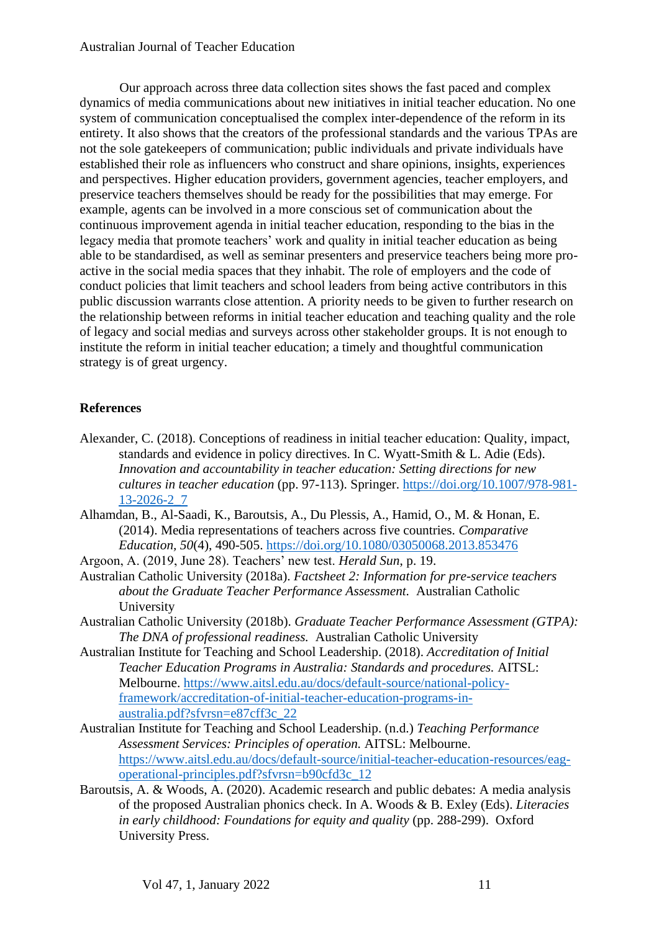Our approach across three data collection sites shows the fast paced and complex dynamics of media communications about new initiatives in initial teacher education. No one system of communication conceptualised the complex inter-dependence of the reform in its entirety. It also shows that the creators of the professional standards and the various TPAs are not the sole gatekeepers of communication; public individuals and private individuals have established their role as influencers who construct and share opinions, insights, experiences and perspectives. Higher education providers, government agencies, teacher employers, and preservice teachers themselves should be ready for the possibilities that may emerge. For example, agents can be involved in a more conscious set of communication about the continuous improvement agenda in initial teacher education, responding to the bias in the legacy media that promote teachers' work and quality in initial teacher education as being able to be standardised, as well as seminar presenters and preservice teachers being more proactive in the social media spaces that they inhabit. The role of employers and the code of conduct policies that limit teachers and school leaders from being active contributors in this public discussion warrants close attention. A priority needs to be given to further research on the relationship between reforms in initial teacher education and teaching quality and the role of legacy and social medias and surveys across other stakeholder groups. It is not enough to institute the reform in initial teacher education; a timely and thoughtful communication strategy is of great urgency.

## **References**

- Alexander, C. (2018). Conceptions of readiness in initial teacher education: Quality, impact, standards and evidence in policy directives. In C. Wyatt-Smith & L. Adie (Eds). *Innovation and accountability in teacher education: Setting directions for new cultures in teacher education* (pp. 97-113). Springer. [https://doi.org/10.1007/978-981-](https://doi.org/10.1007/978-981-13-2026-2_7) [13-2026-2\\_7](https://doi.org/10.1007/978-981-13-2026-2_7)
- Alhamdan, B., Al-Saadi, K., Baroutsis, A., Du Plessis, A., Hamid, O., M. & Honan, E. (2014). Media representations of teachers across five countries. *Comparative Education, 50*(4), 490-505.<https://doi.org/10.1080/03050068.2013.853476>
- Argoon, A. (2019, June 28). Teachers' new test. *Herald Sun*, p. 19.
- Australian Catholic University (2018a). *Factsheet 2: Information for pre-service teachers about the Graduate Teacher Performance Assessment.* Australian Catholic University
- Australian Catholic University (2018b). *Graduate Teacher Performance Assessment (GTPA): The DNA of professional readiness.* Australian Catholic University
- Australian Institute for Teaching and School Leadership. (2018). *Accreditation of Initial Teacher Education Programs in Australia: Standards and procedures.* AITSL: Melbourne. [https://www.aitsl.edu.au/docs/default-source/national-policy](about:blank)[framework/accreditation-of-initial-teacher-education-programs-in](about:blank)[australia.pdf?sfvrsn=e87cff3c\\_22](about:blank)
- Australian Institute for Teaching and School Leadership. (n.d.) *Teaching Performance Assessment Services: Principles of operation.* AITSL: Melbourne. [https://www.aitsl.edu.au/docs/default-source/initial-teacher-education-resources/eag](https://www.aitsl.edu.au/docs/default-source/initial-teacher-education-resources/eag-operational-principles.pdf?sfvrsn=b90cfd3c_12)[operational-principles.pdf?sfvrsn=b90cfd3c\\_12](https://www.aitsl.edu.au/docs/default-source/initial-teacher-education-resources/eag-operational-principles.pdf?sfvrsn=b90cfd3c_12)
- Baroutsis, A. & Woods, A. (2020). Academic research and public debates: A media analysis of the proposed Australian phonics check. In A. Woods & B. Exley (Eds). *Literacies in early childhood: Foundations for equity and quality* (pp. 288-299). Oxford University Press.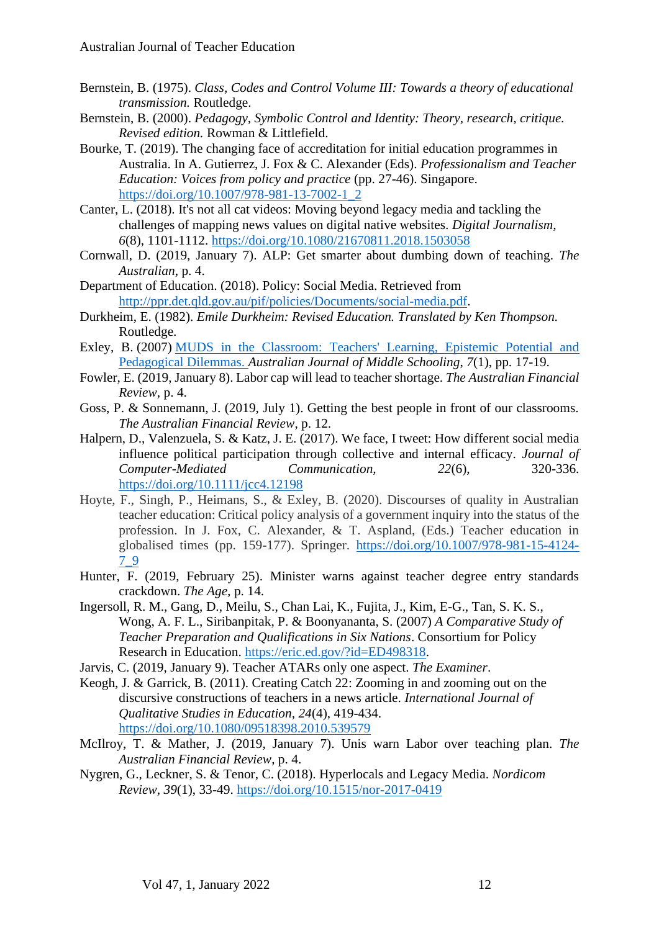- Bernstein, B. (1975). *Class, Codes and Control Volume III: Towards a theory of educational transmission.* Routledge.
- Bernstein, B. (2000). *Pedagogy, Symbolic Control and Identity: Theory, research, critique. Revised edition.* Rowman & Littlefield.
- Bourke, T. (2019). The changing face of accreditation for initial education programmes in Australia. In A. Gutierrez, J. Fox & C. Alexander (Eds). *Professionalism and Teacher Education: Voices from policy and practice* (pp. 27-46). Singapore. [https://doi.org/10.1007/978-981-13-7002-1\\_2](https://doi.org/10.1007/978-981-13-7002-1_2)
- Canter, L. (2018). It's not all cat videos: Moving beyond legacy media and tackling the challenges of mapping news values on digital native websites. *Digital Journalism, 6*(8), 1101-1112. <https://doi.org/10.1080/21670811.2018.1503058>
- Cornwall, D. (2019, January 7). ALP: Get smarter about dumbing down of teaching. *The Australian*, p. 4.
- Department of Education. (2018). Policy: Social Media. Retrieved from [http://ppr.det.qld.gov.au/pif/policies/Documents/social-media.pdf.](about:blank)
- Durkheim, E. (1982). *Emile Durkheim: Revised Education. Translated by Ken Thompson.*  Routledge.
- Exley, B. (2007) [MUDS in the Classroom: Teachers' Learning, Epistemic Potential and](https://eprints.qut.edu.au/7846/)  [Pedagogical Dilemmas.](https://eprints.qut.edu.au/7846/) *Australian Journal of Middle Schooling*, *7*(1), pp. 17-19.
- Fowler, E. (2019, January 8). Labor cap will lead to teacher shortage. *The Australian Financial Review*, p. 4.
- Goss, P. & Sonnemann, J. (2019, July 1). Getting the best people in front of our classrooms. *The Australian Financial Review*, p. 12.
- Halpern, D., Valenzuela, S. & Katz, J. E. (2017). We face, I tweet: How different social media influence political participation through collective and internal efficacy. *Journal of Computer-Mediated Communication, 22*(6), 320-336. <https://doi.org/10.1111/jcc4.12198>
- Hoyte, F., Singh, P., Heimans, S., & Exley, B. (2020). Discourses of quality in Australian teacher education: Critical policy analysis of a government inquiry into the status of the profession. In J. Fox, C. Alexander, & T. Aspland, (Eds.) Teacher education in globalised times (pp. 159-177). Springer. [https://doi.org/10.1007/978-981-15-4124-](https://doi.org/10.1007/978-981-15-4124-7_9) [7\\_9](https://doi.org/10.1007/978-981-15-4124-7_9)
- Hunter, F. (2019, February 25). Minister warns against teacher degree entry standards crackdown. *The Age,* p. 14.
- Ingersoll, R. M., Gang, D., Meilu, S., Chan Lai, K., Fujita, J., Kim, E-G., Tan, S. K. S., Wong, A. F. L., Siribanpitak, P. & Boonyananta, S. (2007) *A Comparative Study of Teacher Preparation and Qualifications in Six Nations*. Consortium for Policy Research in Education. [https://eric.ed.gov/?id=ED498318.](https://eric.ed.gov/?id=ED498318)
- Jarvis, C. (2019, January 9). Teacher ATARs only one aspect. *The Examiner*.
- Keogh, J. & Garrick, B. (2011). Creating Catch 22: Zooming in and zooming out on the discursive constructions of teachers in a news article. *International Journal of Qualitative Studies in Education, 24*(4), 419-434. <https://doi.org/10.1080/09518398.2010.539579>
- McIlroy, T. & Mather, J. (2019, January 7). Unis warn Labor over teaching plan. *The Australian Financial Review*, p. 4.
- Nygren, G., Leckner, S. & Tenor, C. (2018). Hyperlocals and Legacy Media. *Nordicom Review*, *39*(1), 33-49. <https://doi.org/10.1515/nor-2017-0419>